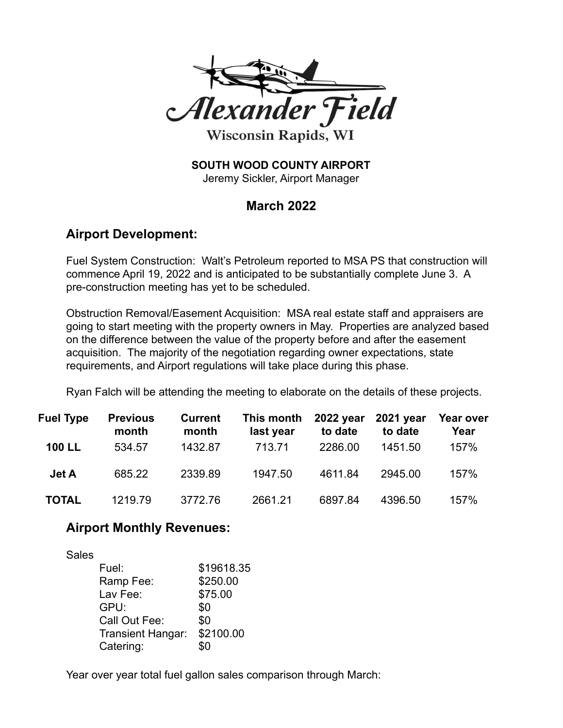

**Wisconsin Rapids, WI** 

**SOUTH WOOD COUNTY AIRPORT**

Jeremy Sickler, Airport Manager

## **March 2022**

## **Airport Development:**

Fuel System Construction: Walt's Petroleum reported to MSA PS that construction will commence April 19, 2022 and is anticipated to be substantially complete June 3. A pre-construction meeting has yet to be scheduled.

Obstruction Removal/Easement Acquisition: MSA real estate staff and appraisers are going to start meeting with the property owners in May. Properties are analyzed based on the difference between the value of the property before and after the easement acquisition. The majority of the negotiation regarding owner expectations, state requirements, and Airport regulations will take place during this phase.

Ryan Falch will be attending the meeting to elaborate on the details of these projects.

| <b>Fuel Type</b> | <b>Previous</b><br>month | <b>Current</b><br>month | This month<br>last year | 2022 year 2021 year<br>to date | to date | Year over<br>Year |
|------------------|--------------------------|-------------------------|-------------------------|--------------------------------|---------|-------------------|
| <b>100 LL</b>    | 534.57                   | 1432.87                 | 713.71                  | 2286.00                        | 1451.50 | 157%              |
| Jet A            | 685.22                   | 2339.89                 | 1947.50                 | 4611.84                        | 2945.00 | 157%              |
| <b>TOTAL</b>     | 1219.79                  | 3772.76                 | 2661.21                 | 6897.84                        | 4396.50 | 157%              |

## **Airport Monthly Revenues:**

Sales

| Fuel:             | \$19618.35 |
|-------------------|------------|
| Ramp Fee:         | \$250.00   |
| Lav Fee:          | \$75.00    |
| GPU:              | \$0        |
| Call Out Fee:     | \$0        |
| Transient Hangar: | \$2100.00  |
| Catering:         | ደበ         |

Year over year total fuel gallon sales comparison through March: